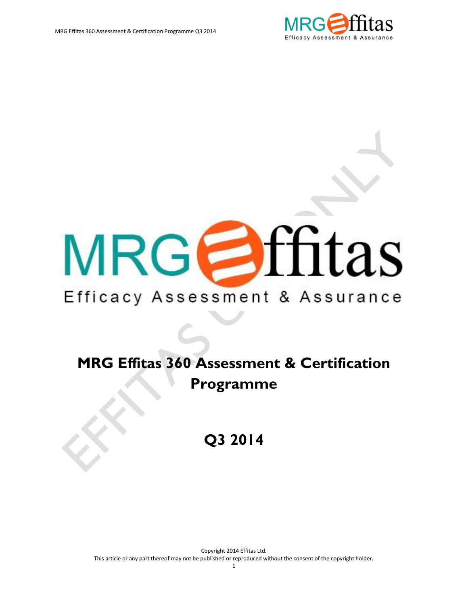

# MRGOffitas

## Efficacy Assessment & Assurance

# **MRG Effitas 360 Assessment & Certification Programme**

**Q3 2014**

Copyright 2014 Effitas Ltd. This article or any part thereof may not be published or reproduced without the consent of the copyright holder.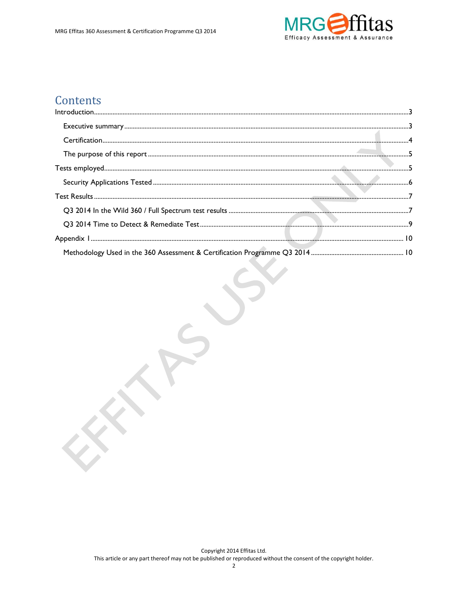

#### Contents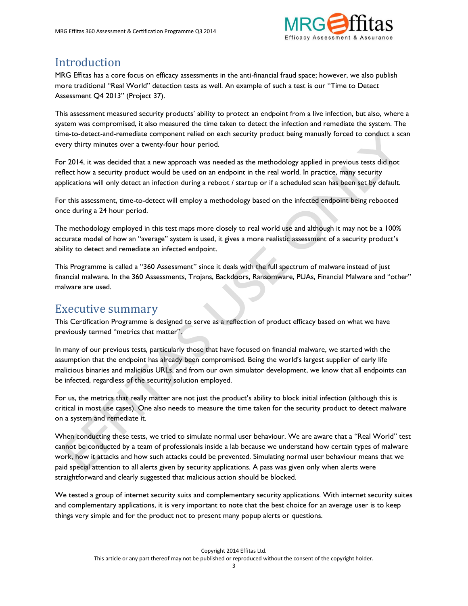

#### <span id="page-2-0"></span>Introduction

MRG Effitas has a core focus on efficacy assessments in the anti-financial fraud space; however, we also publish more traditional "Real World" detection tests as well. An example of such a test is our "Time to Detect Assessment Q4 2013" (Project 37).

This assessment measured security products' ability to protect an endpoint from a live infection, but also, where a system was compromised, it also measured the time taken to detect the infection and remediate the system. The time-to-detect-and-remediate component relied on each security product being manually forced to conduct a scan every thirty minutes over a twenty-four hour period.

For 2014, it was decided that a new approach was needed as the methodology applied in previous tests did not reflect how a security product would be used on an endpoint in the real world. In practice, many security applications will only detect an infection during a reboot / startup or if a scheduled scan has been set by default.

For this assessment, time-to-detect will employ a methodology based on the infected endpoint being rebooted once during a 24 hour period.

The methodology employed in this test maps more closely to real world use and although it may not be a 100% accurate model of how an "average" system is used, it gives a more realistic assessment of a security product's ability to detect and remediate an infected endpoint.

This Programme is called a "360 Assessment" since it deals with the full spectrum of malware instead of just financial malware. In the 360 Assessments, Trojans, Backdoors, Ransomware, PUAs, Financial Malware and "other" malware are used.

#### <span id="page-2-1"></span>Executive summary

This Certification Programme is designed to serve as a reflection of product efficacy based on what we have previously termed "metrics that matter".

In many of our previous tests, particularly those that have focused on financial malware, we started with the assumption that the endpoint has already been compromised. Being the world's largest supplier of early life malicious binaries and malicious URLs, and from our own simulator development, we know that all endpoints can be infected, regardless of the security solution employed.

For us, the metrics that really matter are not just the product's ability to block initial infection (although this is critical in most use cases). One also needs to measure the time taken for the security product to detect malware on a system and remediate it.

When conducting these tests, we tried to simulate normal user behaviour. We are aware that a "Real World" test cannot be conducted by a team of professionals inside a lab because we understand how certain types of malware work, how it attacks and how such attacks could be prevented. Simulating normal user behaviour means that we paid special attention to all alerts given by security applications. A pass was given only when alerts were straightforward and clearly suggested that malicious action should be blocked.

We tested a group of internet security suits and complementary security applications. With internet security suites and complementary applications, it is very important to note that the best choice for an average user is to keep things very simple and for the product not to present many popup alerts or questions.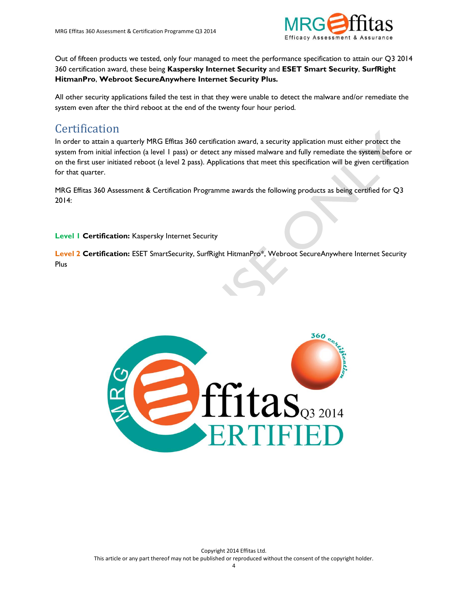

Out of fifteen products we tested, only four managed to meet the performance specification to attain our Q3 2014 360 certification award, these being **Kaspersky Internet Security** and **ESET Smart Security**, **SurfRight HitmanPro**, **Webroot SecureAnywhere Internet Security Plus.**

All other security applications failed the test in that they were unable to detect the malware and/or remediate the system even after the third reboot at the end of the twenty four hour period.

#### <span id="page-3-0"></span>**Certification**

In order to attain a quarterly MRG Effitas 360 certification award, a security application must either protect the system from initial infection (a level 1 pass) or detect any missed malware and fully remediate the system before or on the first user initiated reboot (a level 2 pass). Applications that meet this specification will be given certification for that quarter.

MRG Effitas 360 Assessment & Certification Programme awards the following products as being certified for Q3 2014:

**Level 1 Certification:** Kaspersky Internet Security

**Level 2 Certification:** ESET SmartSecurity, SurfRight HitmanPro\*, Webroot SecureAnywhere Internet Security Plus

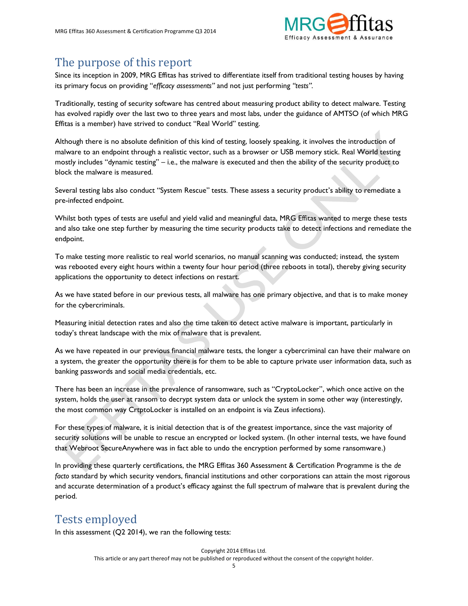

#### <span id="page-4-0"></span>The purpose of this report

Since its inception in 2009, MRG Effitas has strived to differentiate itself from traditional testing houses by having its primary focus on providing "*efficacy assessments"* and not just performing *"tests".* 

Traditionally, testing of security software has centred about measuring product ability to detect malware. Testing has evolved rapidly over the last two to three years and most labs, under the guidance of AMTSO (of which MRG Effitas is a member) have strived to conduct "Real World" testing.

Although there is no absolute definition of this kind of testing, loosely speaking, it involves the introduction of malware to an endpoint through a realistic vector, such as a browser or USB memory stick. Real World testing mostly includes "dynamic testing" – i.e., the malware is executed and then the ability of the security product to block the malware is measured.

Several testing labs also conduct "System Rescue" tests. These assess a security product's ability to remediate a pre-infected endpoint.

Whilst both types of tests are useful and yield valid and meaningful data, MRG Effitas wanted to merge these tests and also take one step further by measuring the time security products take to detect infections and remediate the endpoint.

To make testing more realistic to real world scenarios, no manual scanning was conducted; instead, the system was rebooted every eight hours within a twenty four hour period (three reboots in total), thereby giving security applications the opportunity to detect infections on restart.

As we have stated before in our previous tests, all malware has one primary objective, and that is to make money for the cybercriminals.

Measuring initial detection rates and also the time taken to detect active malware is important, particularly in today's threat landscape with the mix of malware that is prevalent.

As we have repeated in our previous financial malware tests, the longer a cybercriminal can have their malware on a system, the greater the opportunity there is for them to be able to capture private user information data, such as banking passwords and social media credentials, etc.

There has been an increase in the prevalence of ransomware, such as "CryptoLocker", which once active on the system, holds the user at ransom to decrypt system data or unlock the system in some other way (interestingly, the most common way CrtptoLocker is installed on an endpoint is via Zeus infections).

For these types of malware, it is initial detection that is of the greatest importance, since the vast majority of security solutions will be unable to rescue an encrypted or locked system. (In other internal tests, we have found that Webroot SecureAnywhere was in fact able to undo the encryption performed by some ransomware.)

In providing these quarterly certifications, the MRG Effitas 360 Assessment & Certification Programme is the *de facto* standard by which security vendors, financial institutions and other corporations can attain the most rigorous and accurate determination of a product's efficacy against the full spectrum of malware that is prevalent during the period.

### <span id="page-4-1"></span>Tests employed

In this assessment (Q2 2014), we ran the following tests: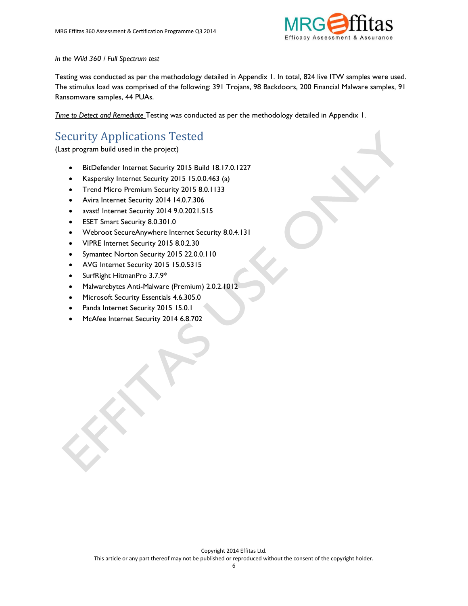

#### *In the Wild 360 / Full Spectrum test*

Testing was conducted as per the methodology detailed in Appendix 1. In total, 824 live ITW samples were used. The stimulus load was comprised of the following: 391 Trojans, 98 Backdoors, 200 Financial Malware samples, 91 Ransomware samples, 44 PUAs.

*Time to Detect and Remediate* Testing was conducted as per the methodology detailed in Appendix 1.

## <span id="page-5-0"></span>Security Applications Tested

(Last program build used in the project)

- BitDefender Internet Security 2015 Build 18.17.0.1227
- Kaspersky Internet Security 2015 15.0.0.463 (a)
- Trend Micro Premium Security 2015 8.0.1133
- Avira Internet Security 2014 14.0.7.306
- avast! Internet Security 2014 9.0.2021.515
- ESET Smart Security 8.0.301.0
- Webroot SecureAnywhere Internet Security 8.0.4.131
- VIPRE Internet Security 2015 8.0.2.30
- Symantec Norton Security 2015 22.0.0.110
- AVG Internet Security 2015 15.0.5315
- SurfRight HitmanPro 3.7.9\*
- Malwarebytes Anti-Malware (Premium) 2.0.2.1012
- Microsoft Security Essentials 4.6.305.0
- Panda Internet Security 2015 15.0.1
- McAfee Internet Security 2014 6.8.702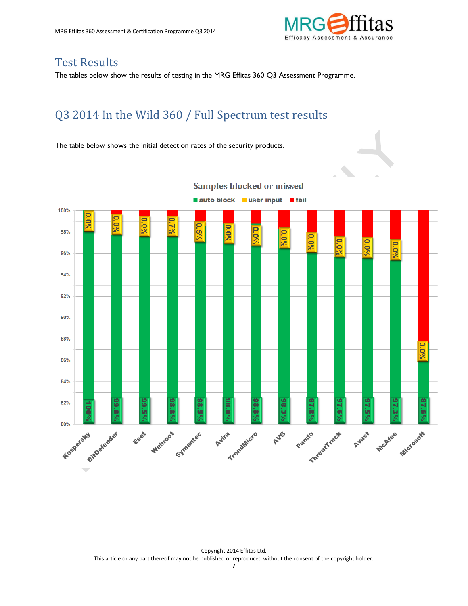

#### <span id="page-6-0"></span>Test Results

The tables below show the results of testing in the MRG Effitas 360 Q3 Assessment Programme.

### <span id="page-6-1"></span>Q3 2014 In the Wild 360 / Full Spectrum test results

The table below shows the initial detection rates of the security products.

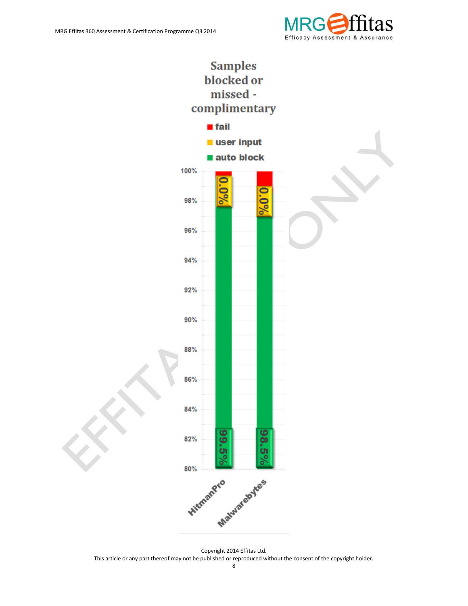



This article or any part thereof may not be published or reproduced without the consent of the copyright holder.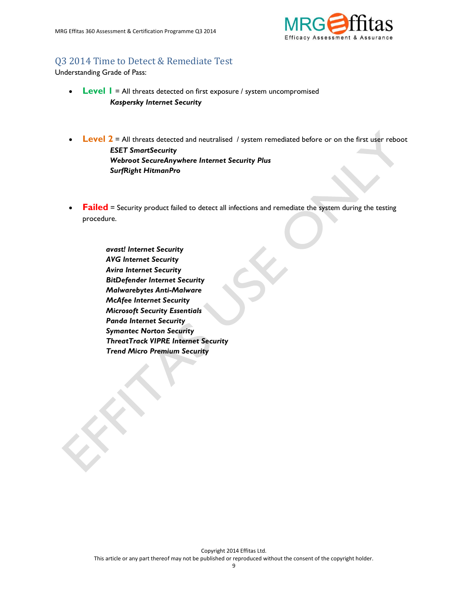

#### <span id="page-8-0"></span>Q3 2014 Time to Detect & Remediate Test

Understanding Grade of Pass:

- **Level 1** = All threats detected on first exposure / system uncompromised *Kaspersky Internet Security*
- **Level 2** = All threats detected and neutralised / system remediated before or on the first user reboot *ESET SmartSecurity Webroot SecureAnywhere Internet Security Plus SurfRight HitmanPro*
- **Failed** = Security product failed to detect all infections and remediate the system during the testing procedure.

<span id="page-8-1"></span> *avast! Internet Security AVG Internet Security Avira Internet Security BitDefender Internet Security Malwarebytes Anti-Malware McAfee Internet Security Microsoft Security Essentials Panda Internet Security Symantec Norton Security ThreatTrack VIPRE Internet Security Trend Micro Premium Security*